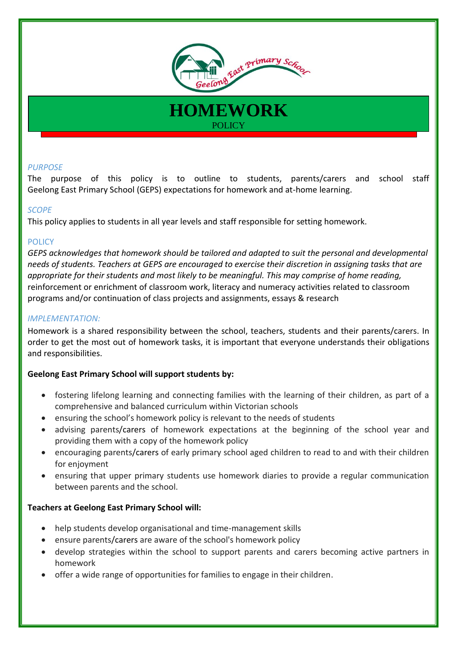

## *PURPOSE*

The purpose of this policy is to outline to students, parents/carers and school staff Geelong East Primary School (GEPS) expectations for homework and at-home learning.

**HOMEWORK**

**POLICY** 

#### *SCOPE*

This policy applies to students in all year levels and staff responsible for setting homework.

#### **POLICY**

*GEPS acknowledges that homework should be tailored and adapted to suit the personal and developmental needs of students. Teachers at GEPS are encouraged to exercise their discretion in assigning tasks that are appropriate for their students and most likely to be meaningful. This may comprise of home reading,*  reinforcement or enrichment of classroom work, literacy and numeracy activities related to classroom programs and/or continuation of class projects and assignments, essays & research

#### *IMPLEMENTATION:*

Homework is a shared responsibility between the school, teachers, students and their parents/carers. In order to get the most out of homework tasks, it is important that everyone understands their obligations and responsibilities.

## **Geelong East Primary School will support students by:**

- fostering lifelong learning and connecting families with the learning of their children, as part of a comprehensive and balanced curriculum within Victorian schools
- ensuring the school's homework policy is relevant to the needs of students
- advising parents/carers of homework expectations at the beginning of the school year and providing them with a copy of the homework policy
- encouraging parents/carers of early primary school aged children to read to and with their children for enjoyment
- ensuring that upper primary students use homework diaries to provide a regular communication between parents and the school.

#### **Teachers at Geelong East Primary School will:**

- help students develop organisational and time-management skills
- ensure parents/carers are aware of the school's homework policy
- develop strategies within the school to support parents and carers becoming active partners in homework
- offer a wide range of opportunities for families to engage in their children.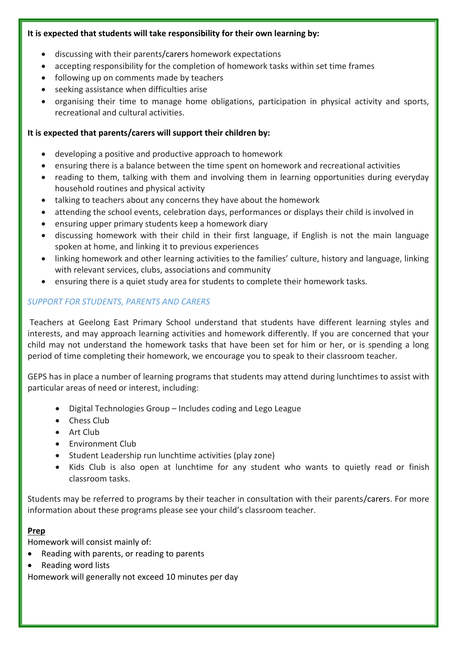## **It is expected that students will take responsibility for their own learning by:**

- discussing with their parents/carers homework expectations
- accepting responsibility for the completion of homework tasks within set time frames
- following up on comments made by teachers
- seeking assistance when difficulties arise
- organising their time to manage home obligations, participation in physical activity and sports, recreational and cultural activities.

## **It is expected that parents/carers will support their children by:**

- developing a positive and productive approach to homework
- ensuring there is a balance between the time spent on homework and recreational activities
- reading to them, talking with them and involving them in learning opportunities during everyday household routines and physical activity
- talking to teachers about any concerns they have about the homework
- attending the school events, celebration days, performances or displays their child is involved in
- ensuring upper primary students keep a homework diary
- discussing homework with their child in their first language, if English is not the main language spoken at home, and linking it to previous experiences
- linking homework and other learning activities to the families' culture, history and language, linking with relevant services, clubs, associations and community
- ensuring there is a quiet study area for students to complete their homework tasks.

## *SUPPORT FOR STUDENTS, PARENTS AND CARERS*

Teachers at Geelong East Primary School understand that students have different learning styles and interests, and may approach learning activities and homework differently. If you are concerned that your child may not understand the homework tasks that have been set for him or her, or is spending a long period of time completing their homework, we encourage you to speak to their classroom teacher.

GEPS has in place a number of learning programs that students may attend during lunchtimes to assist with particular areas of need or interest, including:

- Digital Technologies Group Includes coding and Lego League
- Chess Club
- Art Club
- **•** Environment Club
- Student Leadership run lunchtime activities (play zone)
- Kids Club is also open at lunchtime for any student who wants to quietly read or finish classroom tasks.

Students may be referred to programs by their teacher in consultation with their parents/carers. For more information about these programs please see your child's classroom teacher.

## **Prep**

Homework will consist mainly of:

- Reading with parents, or reading to parents
- Reading word lists

Homework will generally not exceed 10 minutes per day